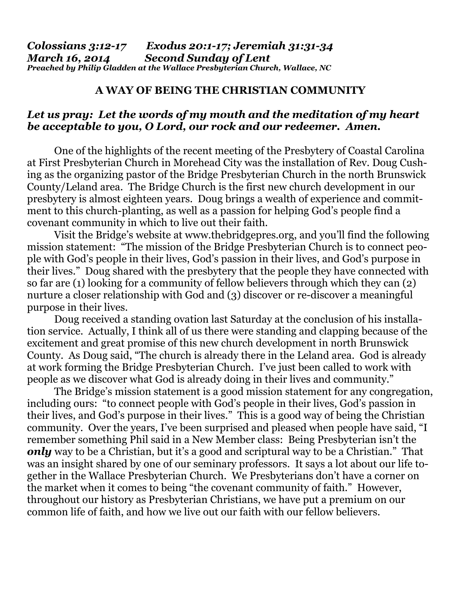## **A WAY OF BEING THE CHRISTIAN COMMUNITY**

## *Let us pray: Let the words of my mouth and the meditation of my heart be acceptable to you, O Lord, our rock and our redeemer. Amen.*

One of the highlights of the recent meeting of the Presbytery of Coastal Carolina at First Presbyterian Church in Morehead City was the installation of Rev. Doug Cushing as the organizing pastor of the Bridge Presbyterian Church in the north Brunswick County/Leland area. The Bridge Church is the first new church development in our presbytery is almost eighteen years. Doug brings a wealth of experience and commitment to this church-planting, as well as a passion for helping God's people find a covenant community in which to live out their faith.

 Visit the Bridge's website at [www.thebridgepres.org,](http://www.thebridgepres.org) and you'll find the following mission statement: "The mission of the Bridge Presbyterian Church is to connect people with God's people in their lives, God's passion in their lives, and God's purpose in their lives." Doug shared with the presbytery that the people they have connected with so far are (1) looking for a community of fellow believers through which they can (2) nurture a closer relationship with God and (3) discover or re-discover a meaningful purpose in their lives.

 Doug received a standing ovation last Saturday at the conclusion of his installation service. Actually, I think all of us there were standing and clapping because of the excitement and great promise of this new church development in north Brunswick County. As Doug said, "The church is already there in the Leland area. God is already at work forming the Bridge Presbyterian Church. I've just been called to work with people as we discover what God is already doing in their lives and community."

 The Bridge's mission statement is a good mission statement for any congregation, including ours: "to connect people with God's people in their lives, God's passion in their lives, and God's purpose in their lives." This is a good way of being the Christian community. Over the years, I've been surprised and pleased when people have said, "I remember something Phil said in a New Member class: Being Presbyterian isn't the *only* way to be a Christian, but it's a good and scriptural way to be a Christian." That was an insight shared by one of our seminary professors. It says a lot about our life together in the Wallace Presbyterian Church. We Presbyterians don't have a corner on the market when it comes to being "the covenant community of faith." However, throughout our history as Presbyterian Christians, we have put a premium on our common life of faith, and how we live out our faith with our fellow believers.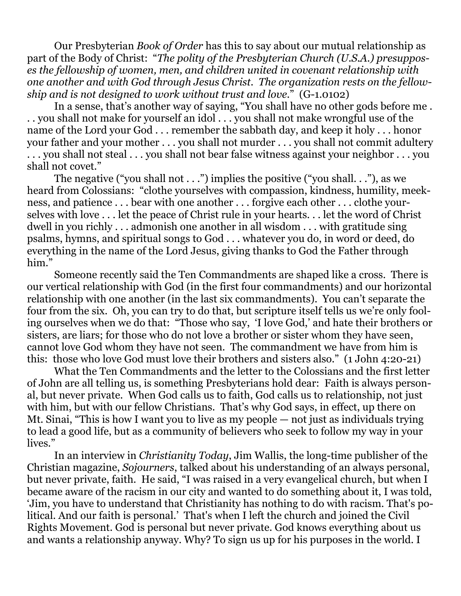Our Presbyterian *Book of Order* has this to say about our mutual relationship as part of the Body of Christ: "*The polity of the Presbyterian Church (U.S.A.) presupposes the fellowship of women, men, and children united in covenant relationship with one another and with God through Jesus Christ. The organization rests on the fellowship and is not designed to work without trust and love.*" (G-1.0102)

 In a sense, that's another way of saying, "You shall have no other gods before me . . . you shall not make for yourself an idol . . . you shall not make wrongful use of the name of the Lord your God . . . remember the sabbath day, and keep it holy . . . honor your father and your mother . . . you shall not murder . . . you shall not commit adultery . . . you shall not steal . . . you shall not bear false witness against your neighbor . . . you shall not covet."

The negative ("you shall not  $\dots$ ") implies the positive ("you shall.  $\dots$ "), as we heard from Colossians: "clothe yourselves with compassion, kindness, humility, meekness, and patience . . . bear with one another . . . forgive each other . . . clothe yourselves with love . . . let the peace of Christ rule in your hearts. . . let the word of Christ dwell in you richly . . . admonish one another in all wisdom . . . with gratitude sing psalms, hymns, and spiritual songs to God . . . whatever you do, in word or deed, do everything in the name of the Lord Jesus, giving thanks to God the Father through him."

 Someone recently said the Ten Commandments are shaped like a cross. There is our vertical relationship with God (in the first four commandments) and our horizontal relationship with one another (in the last six commandments). You can't separate the four from the six. Oh, you can try to do that, but scripture itself tells us we're only fooling ourselves when we do that: "Those who say, 'I love God,' and hate their brothers or sisters, are liars; for those who do not love a brother or sister whom they have seen, cannot love God whom they have not seen. The commandment we have from him is this: those who love God must love their brothers and sisters also." (1 John 4:20-21)

 What the Ten Commandments and the letter to the Colossians and the first letter of John are all telling us, is something Presbyterians hold dear: Faith is always personal, but never private. When God calls us to faith, God calls us to relationship, not just with him, but with our fellow Christians. That's why God says, in effect, up there on Mt. Sinai, "This is how I want you to live as my people — not just as individuals trying to lead a good life, but as a community of believers who seek to follow my way in your lives."

 In an interview in *Christianity Today*, Jim Wallis, the long-time publisher of the Christian magazine, *Sojourners*, talked about his understanding of an always personal, but never private, faith. He said, "I was raised in a very evangelical church, but when I became aware of the racism in our city and wanted to do something about it, I was told, 'Jim, you have to understand that Christianity has nothing to do with racism. That's political. And our faith is personal.' That's when I left the church and joined the Civil Rights Movement. God is personal but never private. God knows everything about us and wants a relationship anyway. Why? To sign us up for his purposes in the world. I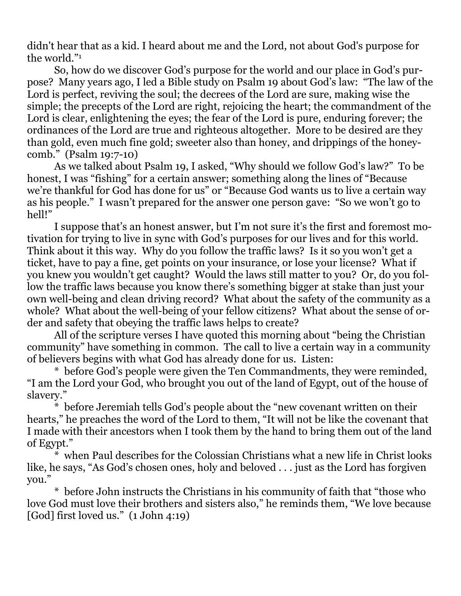didn't hear that as a kid. I heard about me and the Lord, not about God's purpose for the world."1

 So, how do we discover God's purpose for the world and our place in God's purpose? Many years ago, I led a Bible study on Psalm 19 about God's law: "The law of the Lord is perfect, reviving the soul; the decrees of the Lord are sure, making wise the simple; the precepts of the Lord are right, rejoicing the heart; the commandment of the Lord is clear, enlightening the eyes; the fear of the Lord is pure, enduring forever; the ordinances of the Lord are true and righteous altogether. More to be desired are they than gold, even much fine gold; sweeter also than honey, and drippings of the honeycomb." (Psalm 19:7-10)

 As we talked about Psalm 19, I asked, "Why should we follow God's law?" To be honest, I was "fishing" for a certain answer; something along the lines of "Because we're thankful for God has done for us" or "Because God wants us to live a certain way as his people." I wasn't prepared for the answer one person gave: "So we won't go to hell!"

 I suppose that's an honest answer, but I'm not sure it's the first and foremost motivation for trying to live in sync with God's purposes for our lives and for this world. Think about it this way. Why do you follow the traffic laws? Is it so you won't get a ticket, have to pay a fine, get points on your insurance, or lose your license? What if you knew you wouldn't get caught? Would the laws still matter to you? Or, do you follow the traffic laws because you know there's something bigger at stake than just your own well-being and clean driving record? What about the safety of the community as a whole? What about the well-being of your fellow citizens? What about the sense of order and safety that obeying the traffic laws helps to create?

 All of the scripture verses I have quoted this morning about "being the Christian community" have something in common. The call to live a certain way in a community of believers begins with what God has already done for us. Listen:

 \* before God's people were given the Ten Commandments, they were reminded, "I am the Lord your God, who brought you out of the land of Egypt, out of the house of slavery."

 \* before Jeremiah tells God's people about the "new covenant written on their hearts," he preaches the word of the Lord to them, "It will not be like the covenant that I made with their ancestors when I took them by the hand to bring them out of the land of Egypt."

 $*$  when Paul describes for the Colossian Christians what a new life in Christ looks like, he says, "As God's chosen ones, holy and beloved . . . just as the Lord has forgiven you."

 \* before John instructs the Christians in his community of faith that "those who love God must love their brothers and sisters also," he reminds them, "We love because [God] first loved us." (1 John 4:19)